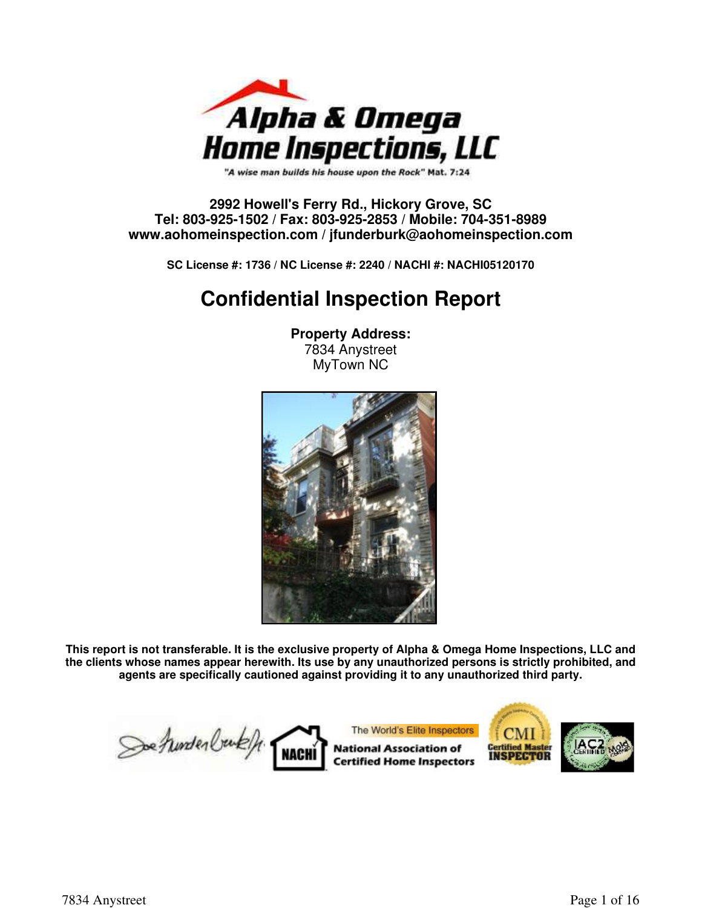

"A wise man builds his house upon the Rock" Mat. 7:24

# **2992 Howell's Ferry Rd., Hickory Grove, SC Tel: 803-925-1502 / Fax: 803-925-2853 / Mobile: 704-351-8989 www.aohomeinspection.com / jfunderburk@aohomeinspection.com**

**SC License #: 1736 / NC License #: 2240 / NACHI #: NACHI05120170**

# **Confidential Inspection Report**

**Property Address:** 7834 Anystreet MyTown NC



**This report is not transferable. It is the exclusive property of Alpha & Omega Home Inspections, LLC and the clients whose names appear herewith. Its use by any unauthorized persons is strictly prohibited, and agents are specifically cautioned against providing it to any unauthorized third party.**

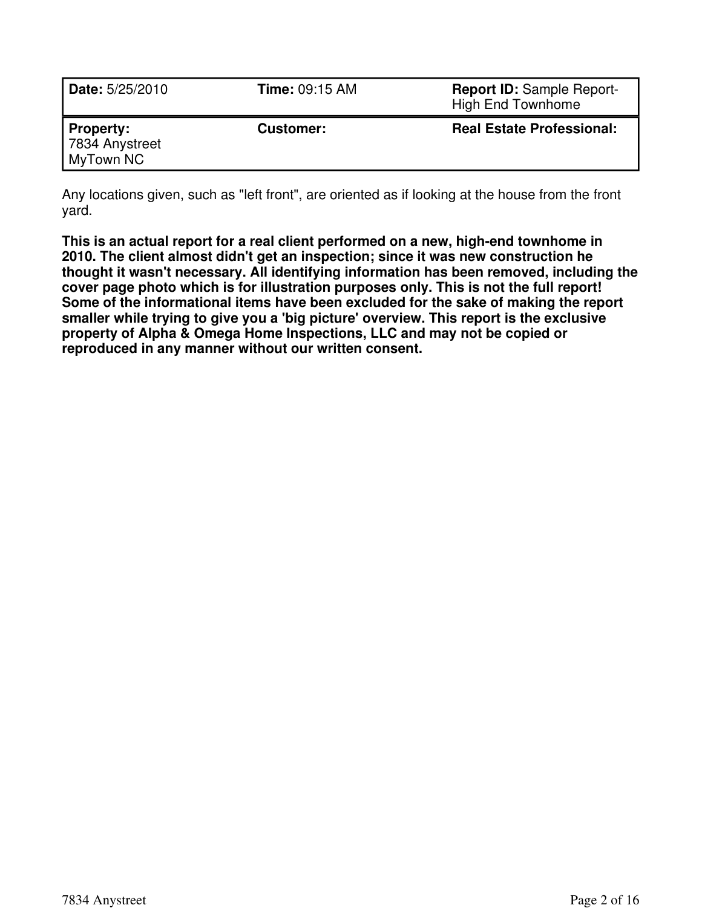| Date: 5/25/2010                          | <b>Time: 09:15 AM</b> | <b>Report ID: Sample Report-</b><br><b>High End Townhome</b> |
|------------------------------------------|-----------------------|--------------------------------------------------------------|
| Property:<br>7834 Anystreet<br>MyTown NC | <b>Customer:</b>      | <b>Real Estate Professional:</b>                             |

Any locations given, such as "left front", are oriented as if looking at the house from the front yard.

**This is an actual report for a real client performed on a new, high-end townhome in 2010. The client almost didn't get an inspection; since it was new construction he thought it wasn't necessary. All identifying information has been removed, including the cover page photo which is for illustration purposes only. This is not the full report! Some of the informational items have been excluded for the sake of making the report smaller while trying to give you a 'big picture' overview. This report is the exclusive property of Alpha & Omega Home Inspections, LLC and may not be copied or reproduced in any manner without our written consent.**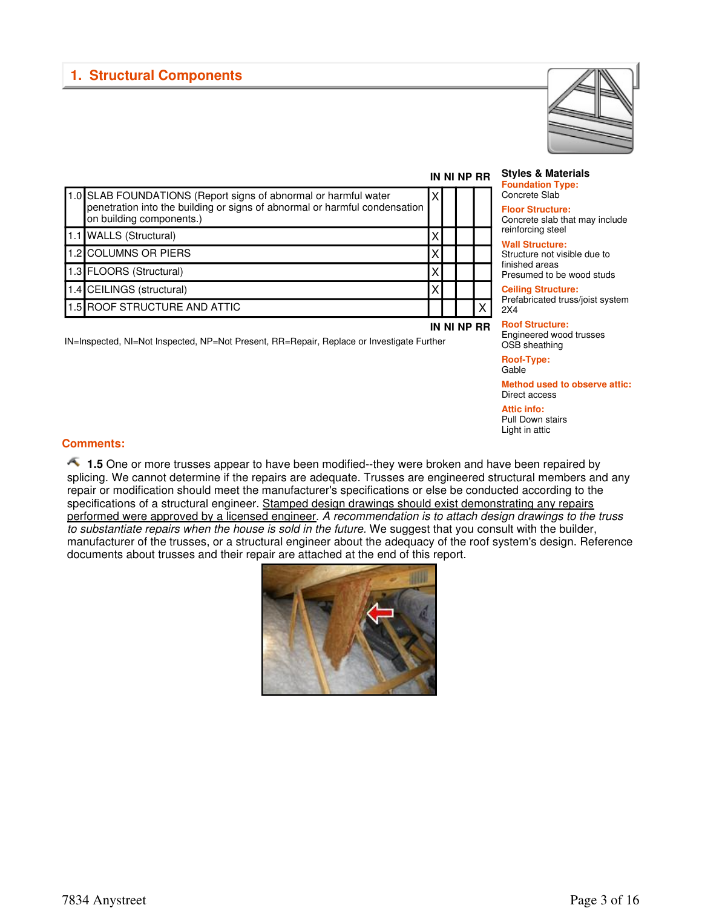

|                                                                                                                                                                           |   | IN NI NP RR |  |
|---------------------------------------------------------------------------------------------------------------------------------------------------------------------------|---|-------------|--|
| 1.0 SLAB FOUNDATIONS (Report signs of abnormal or harmful water<br>penetration into the building or signs of abnormal or harmful condensation<br>on building components.) | x |             |  |
| 1.1 WALLS (Structural)                                                                                                                                                    |   |             |  |
| 1.2 COLUMNS OR PIERS                                                                                                                                                      |   |             |  |
| 1.3 FLOORS (Structural)                                                                                                                                                   |   |             |  |
| 1.4 CEILINGS (structural)                                                                                                                                                 |   |             |  |
| 1.5 ROOF STRUCTURE AND ATTIC                                                                                                                                              |   |             |  |
|                                                                                                                                                                           |   | IN NI NP RR |  |

IN=Inspected, NI=Not Inspected, NP=Not Present, RR=Repair, Replace or Investigate Further

# **IN NI NP RR Styles & Materials**

**Foundation Type:** Concrete Slab<sup>1</sup>

### **Floor Structure:**

Concrete slab that may include reinforcing steel

# **Wall Structure:**

Structure not visible due to finished areas Presumed to be wood studs

#### **Ceiling Structure:** Prefabricated truss/joist system 2X4

**Roof Structure:** Engineered wood trusses OSB sheathing

**Roof-Type:** Gable

**Method used to observe attic:** Direct access

**Attic info:** Pull Down stairs Light in attic

# **Comments:**

**1.5** One or more trusses appear to have been modified--they were broken and have been repaired by splicing. We cannot determine if the repairs are adequate. Trusses are engineered structural members and any repair or modification should meet the manufacturer's specifications or else be conducted according to the specifications of a structural engineer. Stamped design drawings should exist demonstrating any repairs performed were approved by a licensed engineer. A recommendation is to attach design drawings to the truss to substantiate repairs when the house is sold in the future. We suggest that you consult with the builder, manufacturer of the trusses, or a structural engineer about the adequacy of the roof system's design. Reference documents about trusses and their repair are attached at the end of this report.

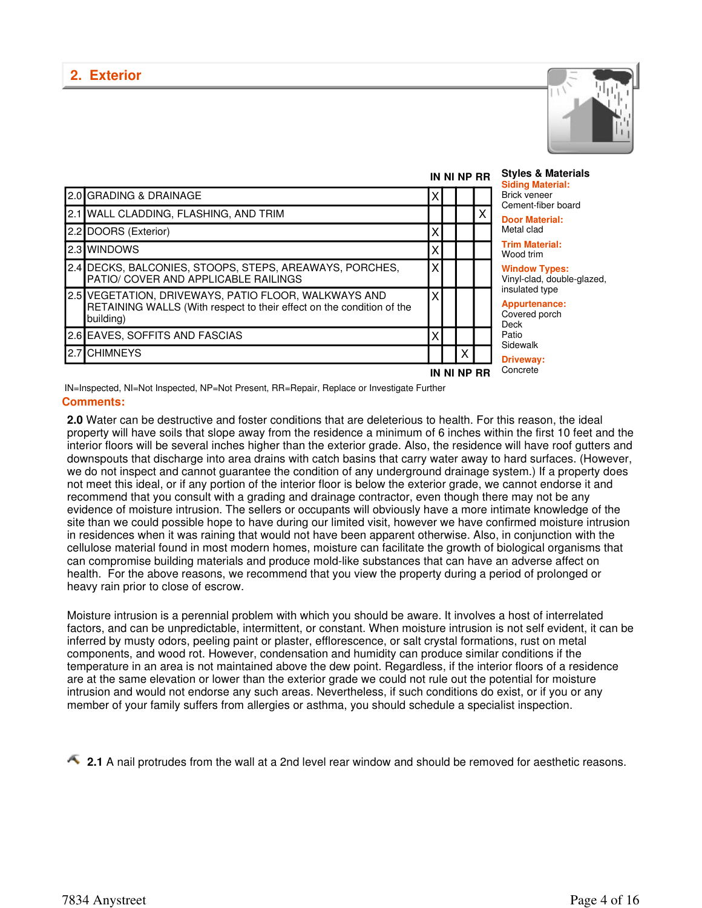

| IN NI NP RR<br>2.0 GRADING & DRAINAGE<br>х<br>2.1 WALL CLADDING, FLASHING, AND TRIM<br>х<br>2.2 DOORS (Exterior)<br>Χ<br>2.3 WINDOWS<br>X<br>2.4 DECKS, BALCONIES, STOOPS, STEPS, AREAWAYS, PORCHES,<br>X<br>PATIO/ COVER AND APPLICABLE RAILINGS | <b>Styles &amp; Materials</b><br><b>Siding Material:</b>                                                                                   |   |  |             |                                                                 |
|---------------------------------------------------------------------------------------------------------------------------------------------------------------------------------------------------------------------------------------------------|--------------------------------------------------------------------------------------------------------------------------------------------|---|--|-------------|-----------------------------------------------------------------|
|                                                                                                                                                                                                                                                   |                                                                                                                                            |   |  |             | <b>Brick veneer</b><br>Cement-fiber board                       |
|                                                                                                                                                                                                                                                   |                                                                                                                                            |   |  |             | <b>Door Material:</b>                                           |
|                                                                                                                                                                                                                                                   |                                                                                                                                            |   |  |             | Metal clad                                                      |
|                                                                                                                                                                                                                                                   |                                                                                                                                            |   |  |             | <b>Trim Material:</b><br>Wood trim                              |
|                                                                                                                                                                                                                                                   |                                                                                                                                            |   |  |             | <b>Window Types:</b><br>Vinyl-clad, double-gla:                 |
|                                                                                                                                                                                                                                                   | 2.5 VEGETATION, DRIVEWAYS, PATIO FLOOR, WALKWAYS AND<br>RETAINING WALLS (With respect to their effect on the condition of the<br>building) | X |  |             | insulated type<br><b>Appurtenance:</b><br>Covered porch<br>Deck |
|                                                                                                                                                                                                                                                   | 2.6 EAVES, SOFFITS AND FASCIAS                                                                                                             | Χ |  |             | Patio                                                           |
|                                                                                                                                                                                                                                                   | 2.7 CHIMNEYS                                                                                                                               |   |  |             | Sidewalk<br><b>Driveway:</b>                                    |
|                                                                                                                                                                                                                                                   |                                                                                                                                            |   |  | IN NI NP RR | Concrete                                                        |

**Window Types:** inyl-clad, double-glazed, isulated type

**Comments:**  IN=Inspected, NI=Not Inspected, NP=Not Present, RR=Repair, Replace or Investigate Further

**2.0** Water can be destructive and foster conditions that are deleterious to health. For this reason, the ideal property will have soils that slope away from the residence a minimum of 6 inches within the first 10 feet and the interior floors will be several inches higher than the exterior grade. Also, the residence will have roof gutters and downspouts that discharge into area drains with catch basins that carry water away to hard surfaces. (However, we do not inspect and cannot guarantee the condition of any underground drainage system.) If a property does not meet this ideal, or if any portion of the interior floor is below the exterior grade, we cannot endorse it and recommend that you consult with a grading and drainage contractor, even though there may not be any evidence of moisture intrusion. The sellers or occupants will obviously have a more intimate knowledge of the site than we could possible hope to have during our limited visit, however we have confirmed moisture intrusion in residences when it was raining that would not have been apparent otherwise. Also, in conjunction with the cellulose material found in most modern homes, moisture can facilitate the growth of biological organisms that can compromise building materials and produce mold-like substances that can have an adverse affect on health. For the above reasons, we recommend that you view the property during a period of prolonged or heavy rain prior to close of escrow.

Moisture intrusion is a perennial problem with which you should be aware. It involves a host of interrelated factors, and can be unpredictable, intermittent, or constant. When moisture intrusion is not self evident, it can be inferred by musty odors, peeling paint or plaster, efflorescence, or salt crystal formations, rust on metal components, and wood rot. However, condensation and humidity can produce similar conditions if the temperature in an area is not maintained above the dew point. Regardless, if the interior floors of a residence are at the same elevation or lower than the exterior grade we could not rule out the potential for moisture intrusion and would not endorse any such areas. Nevertheless, if such conditions do exist, or if you or any member of your family suffers from allergies or asthma, you should schedule a specialist inspection.

**12.1** A nail protrudes from the wall at a 2nd level rear window and should be removed for aesthetic reasons.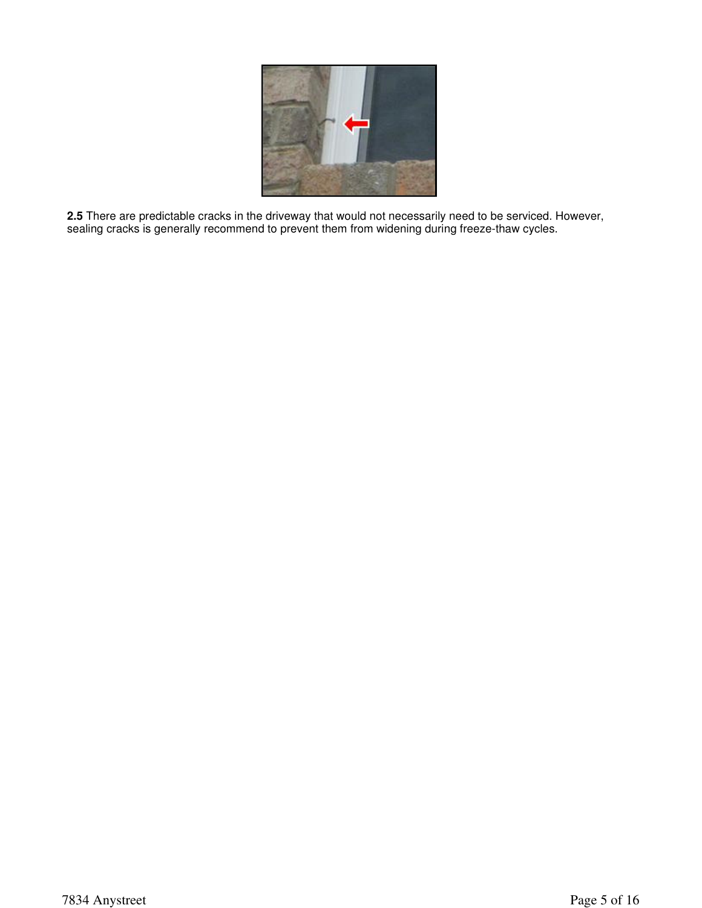

**2.5** There are predictable cracks in the driveway that would not necessarily need to be serviced. However, sealing cracks is generally recommend to prevent them from widening during freeze-thaw cycles.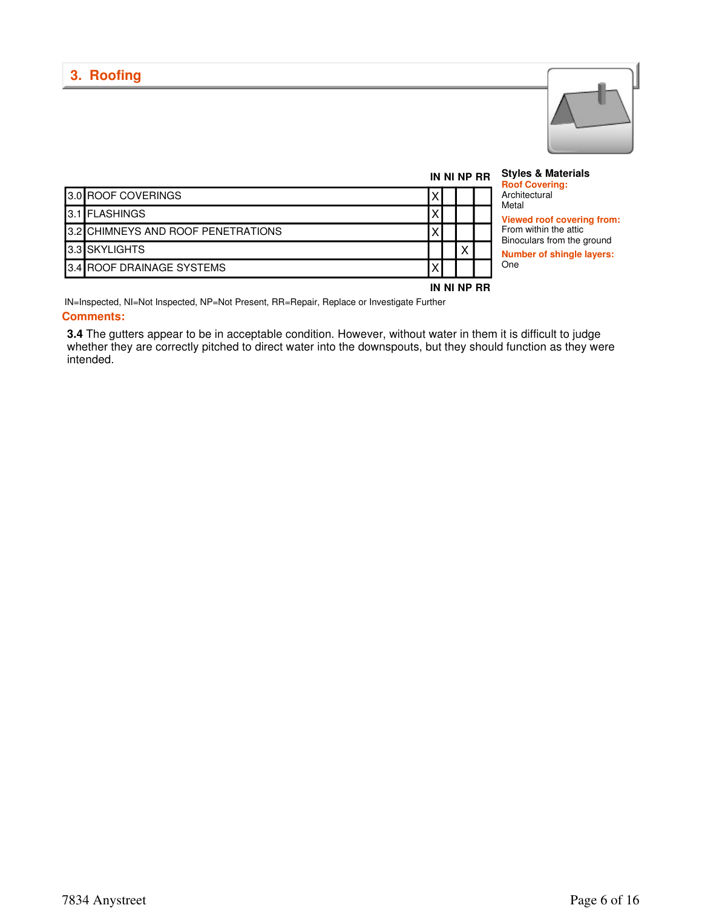

|                                    | IN NI NP RR<br>Architectural<br>X.<br>Metal<br>X. | <b>Styles &amp; Materials</b><br><b>Roof Covering:</b> |
|------------------------------------|---------------------------------------------------|--------------------------------------------------------|
| 3.0 ROOF COVERINGS                 |                                                   |                                                        |
| <b>13.1 FLASHINGS</b>              |                                                   | Viewed roof covering from:                             |
| 3.2 CHIMNEYS AND ROOF PENETRATIONS |                                                   | From within the attic<br>Binoculars from the ground    |
| 3.3 SKYLIGHTS                      | $\times$                                          | <b>Number of shingle layers:</b>                       |
| <b>13.4 ROOF DRAINAGE SYSTEMS</b>  |                                                   | One                                                    |
|                                    | IN NI NP RR                                       |                                                        |

**Comments:**  IN=Inspected, NI=Not Inspected, NP=Not Present, RR=Repair, Replace or Investigate Further

**3.4** The gutters appear to be in acceptable condition. However, without water in them it is difficult to judge whether they are correctly pitched to direct water into the downspouts, but they should function as they were intended.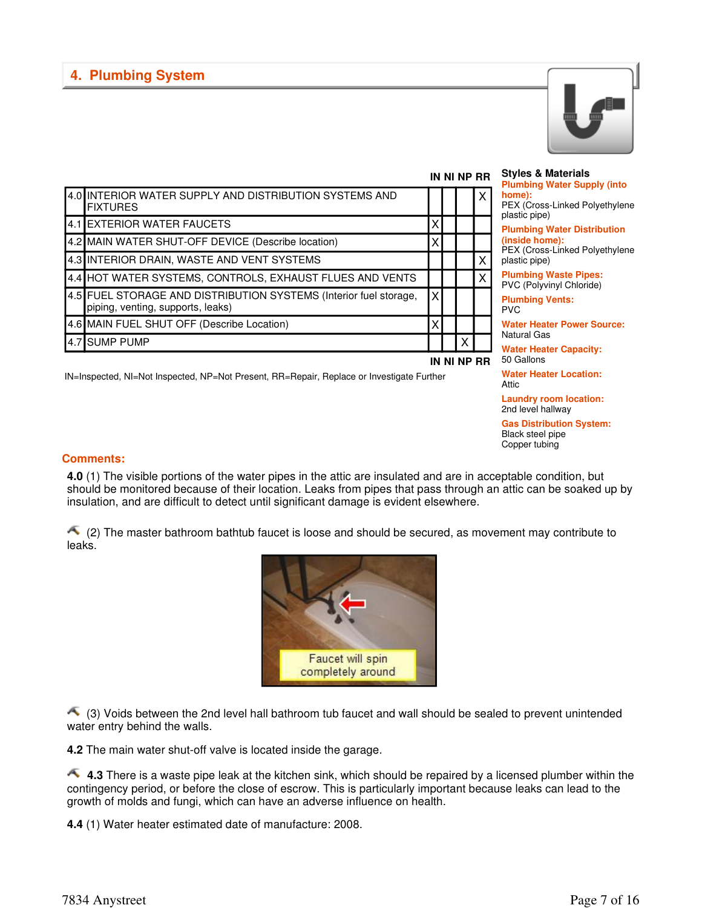# **4. Plumbing System**



| 4.0 | INTERIOR WATER SUPPLY AND DISTRIBUTION SYSTEMS AND<br><b>FIXTURES</b>                              |   |  | X |
|-----|----------------------------------------------------------------------------------------------------|---|--|---|
|     | 4.1 EXTERIOR WATER FAUCETS                                                                         | x |  |   |
|     | 4.2 MAIN WATER SHUT-OFF DEVICE (Describe location)                                                 | x |  |   |
|     | 4.3 INTERIOR DRAIN, WASTE AND VENT SYSTEMS                                                         |   |  | X |
|     | 4.4 HOT WATER SYSTEMS, CONTROLS, EXHAUST FLUES AND VENTS                                           |   |  | X |
| 4.5 | FUEL STORAGE AND DISTRIBUTION SYSTEMS (Interior fuel storage,<br>piping, venting, supports, leaks) | x |  |   |
|     | 4.6 MAIN FUEL SHUT OFF (Describe Location)                                                         | x |  |   |
| 4.7 | <b>SUMP PUMP</b>                                                                                   |   |  |   |

IN=Inspected, NI=Not Inspected, NP=Not Present, RR=Repair, Replace or Investigate Further

# **IN NI NP RR Styles & Materials**

**IN NI NP RR**

**Plumbing Water Supply (into home):**

PEX (Cross-Linked Polyethylene plastic pipe)

**Plumbing Water Distribution (inside home):**

PEX (Cross-Linked Polyethylene plastic pipe)

**Plumbing Waste Pipes:** PVC (Polyvinyl Chloride) **Plumbing Vents:**

PVC

**Water Heater Power Source:** Natural Gas

**Water Heater Capacity:** 50 Gallons

**Water Heater Location:** Attic

**Laundry room location:** 2nd level hallway

**Gas Distribution System:** Black steel pipe Copper tubing

## **Comments:**

**4.0** (1) The visible portions of the water pipes in the attic are insulated and are in acceptable condition, but should be monitored because of their location. Leaks from pipes that pass through an attic can be soaked up by insulation, and are difficult to detect until significant damage is evident elsewhere.

 $(2)$  The master bathroom bathtub faucet is loose and should be secured, as movement may contribute to leaks.



 $\sim$  (3) Voids between the 2nd level hall bathroom tub faucet and wall should be sealed to prevent unintended water entry behind the walls.

**4.2** The main water shut-off valve is located inside the garage.

**4.3** There is a waste pipe leak at the kitchen sink, which should be repaired by a licensed plumber within the contingency period, or before the close of escrow. This is particularly important because leaks can lead to the growth of molds and fungi, which can have an adverse influence on health.

**4.4** (1) Water heater estimated date of manufacture: 2008.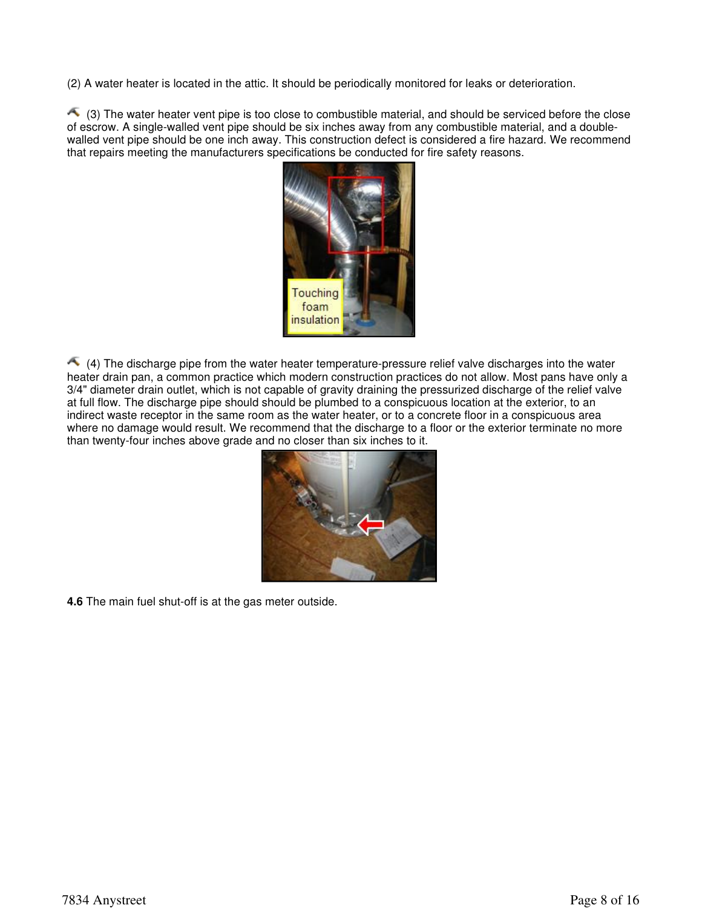(2) A water heater is located in the attic. It should be periodically monitored for leaks or deterioration.

 $\triangle$  (3) The water heater vent pipe is too close to combustible material, and should be serviced before the close of escrow. A single-walled vent pipe should be six inches away from any combustible material, and a doublewalled vent pipe should be one inch away. This construction defect is considered a fire hazard. We recommend that repairs meeting the manufacturers specifications be conducted for fire safety reasons.



 $(4)$  The discharge pipe from the water heater temperature-pressure relief valve discharges into the water heater drain pan, a common practice which modern construction practices do not allow. Most pans have only a 3/4" diameter drain outlet, which is not capable of gravity draining the pressurized discharge of the relief valve at full flow. The discharge pipe should should be plumbed to a conspicuous location at the exterior, to an indirect waste receptor in the same room as the water heater, or to a concrete floor in a conspicuous area where no damage would result. We recommend that the discharge to a floor or the exterior terminate no more than twenty-four inches above grade and no closer than six inches to it.



**4.6** The main fuel shut-off is at the gas meter outside.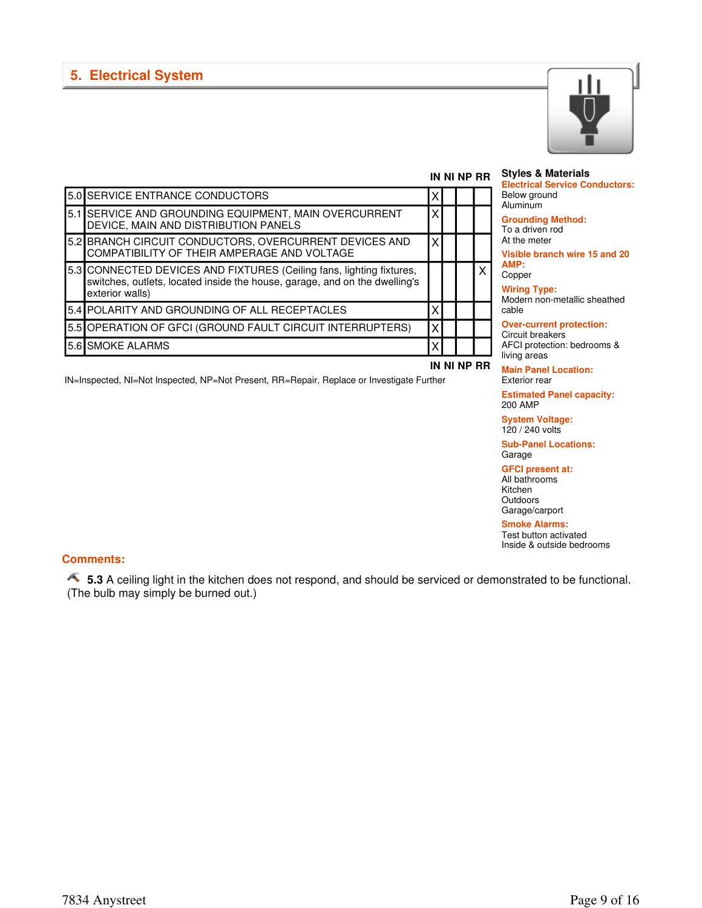

### 5.0 SERVICE ENTRANCE CONDUCTORS X 5.1 SERVICE AND GROUNDING EQUIPMENT, MAIN OVERCURRENT DEVICE, MAIN AND DISTRIBUTION PANELS X 5.2 BRANCH CIRCUIT CONDUCTORS, OVERCURRENT DEVICES AND COMPATIBILITY OF THEIR AMPERAGE AND VOLTAGE X 5.3 CONNECTED DEVICES AND FIXTURES (Ceiling fans, lighting fixtures, switches, outlets, located inside the house, garage, and on the dwelling's exterior walls) X 5.4 POLARITY AND GROUNDING OF ALL RECEPTACLES 5.5 OPERATION OF GFCI (GROUND FAULT CIRCUIT INTERRUPTERS) | X 5.6 SMOKE ALARMS

IN=Inspected, NI=Not Inspected, NP=Not Present, RR=Repair, Replace or Investigate Further

**IN NI NP RR Styles & Materials** 

**IN NI NP RR**

## Aluminum **Grounding Method:**

To a driven rod At the meter

Below ground

**Visible branch wire 15 and 20 AMP:**

**Electrical Service Conductors:**

Copper

**Wiring Type:** Modern non-metallic sheathed cable

#### **Over-current protection:**

Circuit breakers AFCI protection: bedrooms & living areas

**Main Panel Location:** Exterior rear

**Estimated Panel capacity:** 200 AMP

**System Voltage:** 120 / 240 volts

**Sub-Panel Locations: Garage** 

**GFCI present at:** All bathrooms Kitchen

**Outdoors** Garage/carport

#### **Smoke Alarms:** Test button activated

Inside & outside bedrooms

# **Comments:**

**5.3** A ceiling light in the kitchen does not respond, and should be serviced or demonstrated to be functional. (The bulb may simply be burned out.)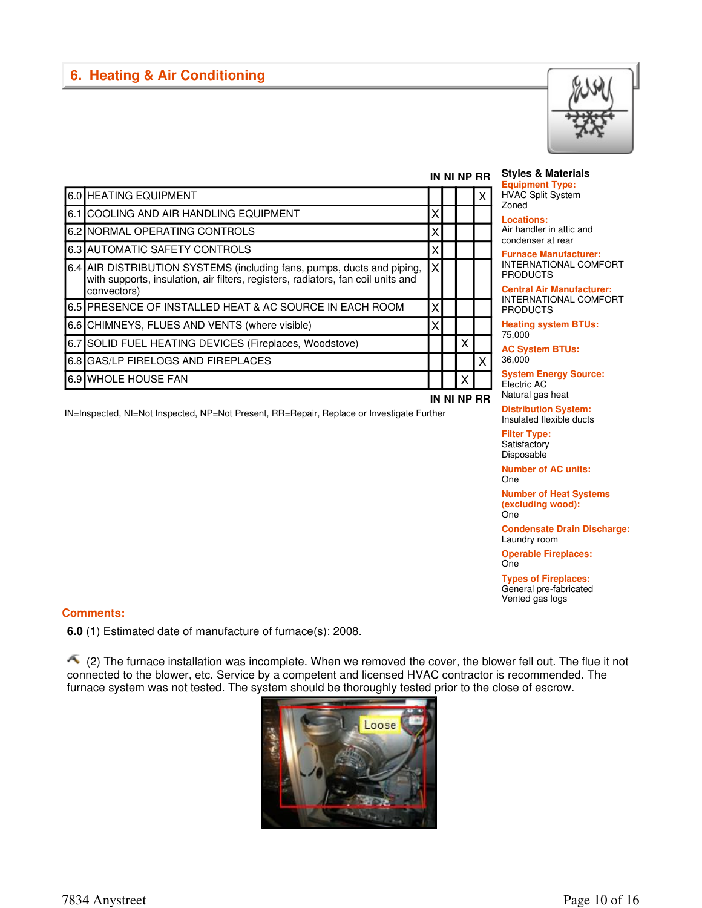# **6. Heating & Air Conditioning**



|                                                                                                                                                                           |   |   | IN NI NP RR | <b>Styles &amp; Materials</b><br><b>Equipment Type:</b>            |
|---------------------------------------------------------------------------------------------------------------------------------------------------------------------------|---|---|-------------|--------------------------------------------------------------------|
| 6.0 HEATING EQUIPMENT                                                                                                                                                     |   |   | X.          | <b>HVAC Split System</b><br>Zoned                                  |
| 6.1 COOLING AND AIR HANDLING EQUIPMENT                                                                                                                                    | Χ |   |             | <b>Locations:</b>                                                  |
| 6.2 NORMAL OPERATING CONTROLS                                                                                                                                             | x |   |             | Air handler in attic and<br>condenser at rear                      |
| 6.3 AUTOMATIC SAFETY CONTROLS                                                                                                                                             | х |   |             | <b>Furnace Manufacture</b>                                         |
| 6.4 AIR DISTRIBUTION SYSTEMS (including fans, pumps, ducts and piping,<br>with supports, insulation, air filters, registers, radiators, fan coil units and<br>convectors) |   |   |             | INTERNATIONAL CO<br><b>PRODUCTS</b><br><b>Central Air Manufact</b> |
| 6.5 PRESENCE OF INSTALLED HEAT & AC SOURCE IN EACH ROOM                                                                                                                   | X |   |             | <b>INTERNATIONAL CO</b><br><b>PRODUCTS</b>                         |
| 6.6 CHIMNEYS, FLUES AND VENTS (where visible)                                                                                                                             | X |   |             | <b>Heating system BTU</b>                                          |
| 6.7 SOLID FUEL HEATING DEVICES (Fireplaces, Woodstove)                                                                                                                    |   | X |             | 75,000<br><b>AC System BTUs:</b>                                   |
| 6.8 GAS/LP FIRELOGS AND FIREPLACES                                                                                                                                        |   |   | X           | 36,000                                                             |
| 6.9 WHOLE HOUSE FAN                                                                                                                                                       |   |   |             | <b>System Energy Sour</b><br>Electric AC                           |

IN=Inspected, NI=Not Inspected, NP=Not Present, RR=Repair, Replace or Investigate Further

**IN NI NP RR**

**Furnace Manufacturer:** INTERNATIONAL COMFORT PRODUCTS

**Central Air Manufacturer:** INTERNATIONAL COMFORT PRODUCTS

**Heating system BTUs:** 75,000

**System Energy Source:** Electric AC

Natural gas heat

**Distribution System:** Insulated flexible ducts

**Filter Type: Satisfactory Disposable** 

**Number of AC units:** One

**Number of Heat Systems (excluding wood):** One

**Condensate Drain Discharge:** Laundry room

**Operable Fireplaces:** One

**Types of Fireplaces:** General pre-fabricated Vented gas logs

# **Comments:**

**6.0** (1) Estimated date of manufacture of furnace(s): 2008.

 $\triangle$  (2) The furnace installation was incomplete. When we removed the cover, the blower fell out. The flue it not connected to the blower, etc. Service by a competent and licensed HVAC contractor is recommended. The furnace system was not tested. The system should be thoroughly tested prior to the close of escrow.

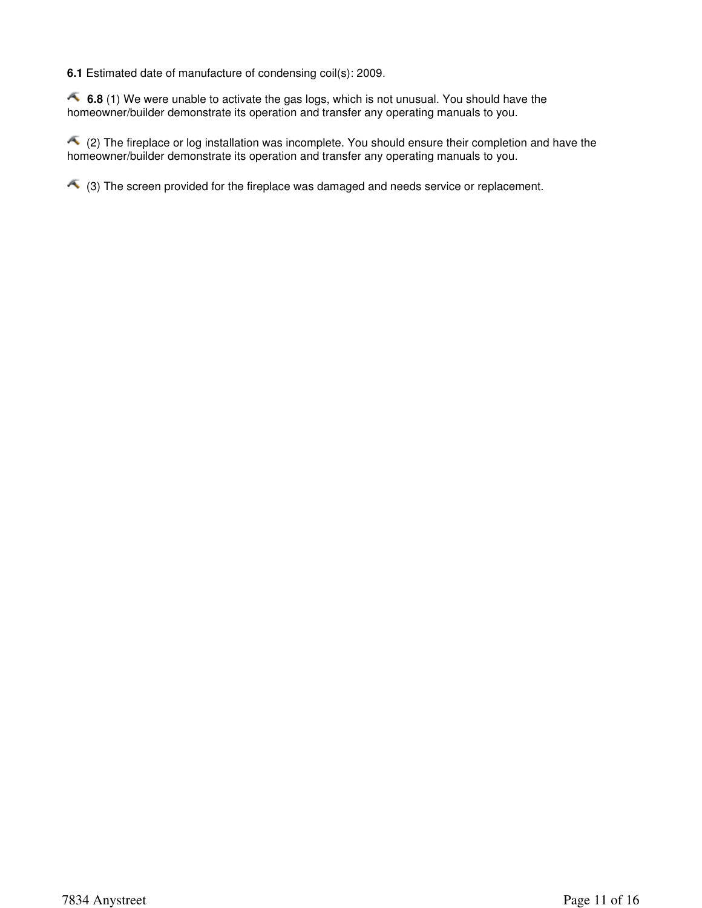**6.1** Estimated date of manufacture of condensing coil(s): 2009.

**6.8** (1) We were unable to activate the gas logs, which is not unusual. You should have the homeowner/builder demonstrate its operation and transfer any operating manuals to you.

 (2) The fireplace or log installation was incomplete. You should ensure their completion and have the homeowner/builder demonstrate its operation and transfer any operating manuals to you.

 $\triangle$  (3) The screen provided for the fireplace was damaged and needs service or replacement.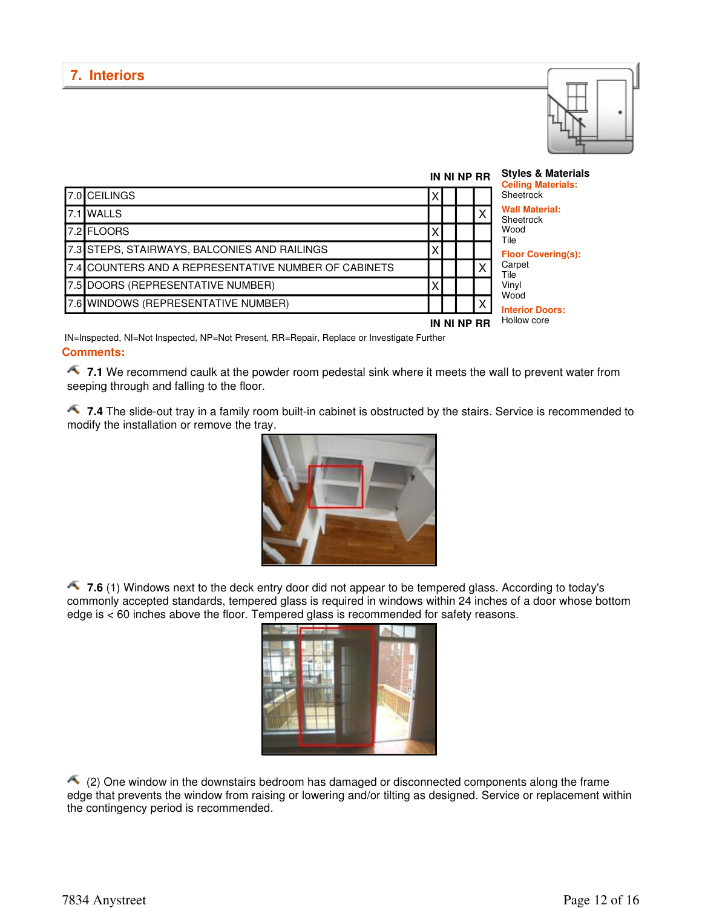

|                                                      |   | IN NI NP RR | <b>Styles &amp; Materials</b><br><b>Ceiling Materials:</b> |
|------------------------------------------------------|---|-------------|------------------------------------------------------------|
| 7.0 CEILINGS                                         | Χ |             | Sheetrock                                                  |
| 7.1 WALLS                                            |   | X           | <b>Wall Material:</b><br>Sheetrock                         |
| 7.2 FLOORS                                           | Х |             | Wood<br>Tile                                               |
| 7.3 STEPS, STAIRWAYS, BALCONIES AND RAILINGS         | х |             | <b>Floor Covering(s):</b>                                  |
| 7.4 COUNTERS AND A REPRESENTATIVE NUMBER OF CABINETS |   | X           | Carpet<br>Tile                                             |
| 7.5 DOORS (REPRESENTATIVE NUMBER)                    | х |             | Vinyl                                                      |
| 7.6 WINDOWS (REPRESENTATIVE NUMBER)                  |   | X           | Wood<br><b>Interior Doors:</b>                             |
|                                                      |   | IN NI NP RR | Hollow core                                                |

**Comments:**  IN=Inspected, NI=Not Inspected, NP=Not Present, RR=Repair, Replace or Investigate Further

**1.1** We recommend caulk at the powder room pedestal sink where it meets the wall to prevent water from seeping through and falling to the floor.

**1.4** The slide-out tray in a family room built-in cabinet is obstructed by the stairs. Service is recommended to modify the installation or remove the tray.



**1.6** (1) Windows next to the deck entry door did not appear to be tempered glass. According to today's commonly accepted standards, tempered glass is required in windows within 24 inches of a door whose bottom edge is < 60 inches above the floor. Tempered glass is recommended for safety reasons.



 $\triangle$  (2) One window in the downstairs bedroom has damaged or disconnected components along the frame edge that prevents the window from raising or lowering and/or tilting as designed. Service or replacement within the contingency period is recommended.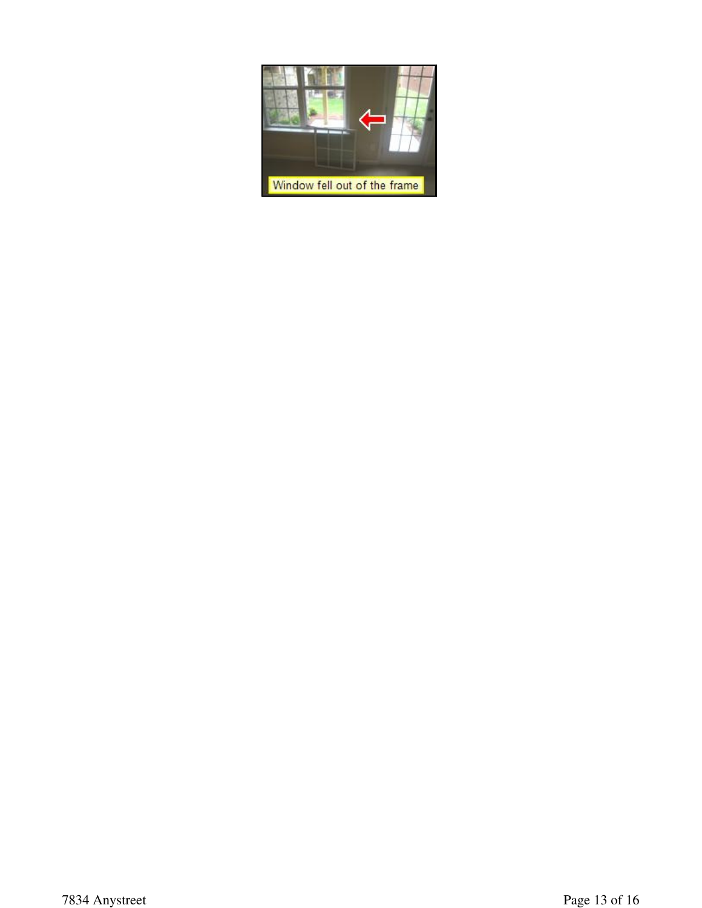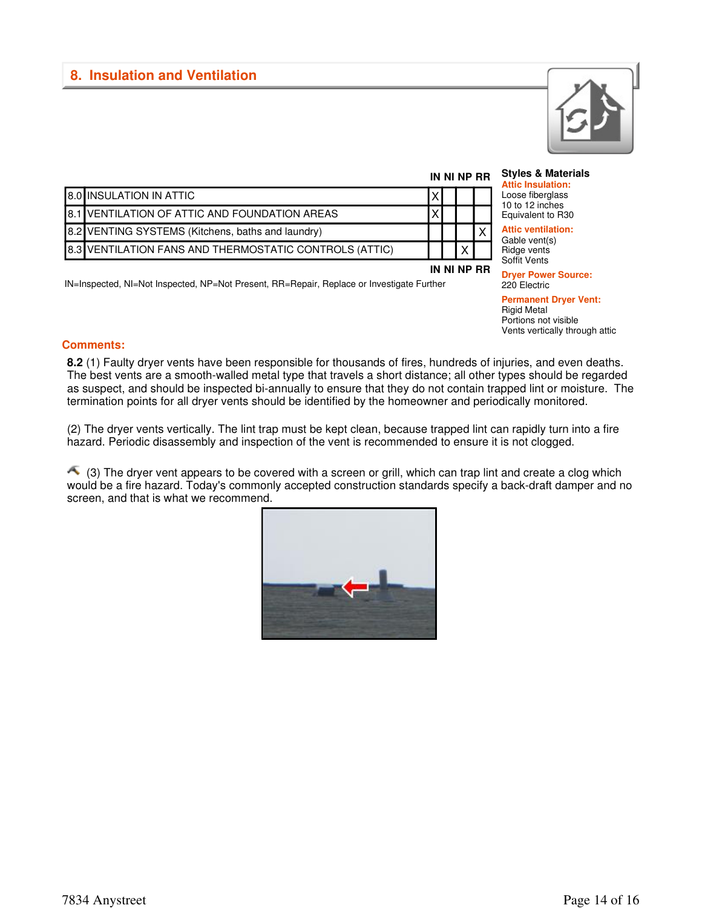8.0 INSULATION IN ATTIC X



# **IN NI NP RR Styles & Materials**

**Attic Insulation:** Loose fiberglass 10 to 12 inches Equivalent to R30

# **Attic ventilation:**

Gable vent(s) Ridge vents Soffit Vents

**IN NI NP RR**

**Dryer Power Source:** 220 Electric

# **Permanent Dryer Vent:**

Rigid Metal Portions not visible Vents vertically through attic

**Comments:** 

**8.2** (1) Faulty dryer vents have been responsible for thousands of fires, hundreds of injuries, and even deaths. The best vents are a smooth-walled metal type that travels a short distance; all other types should be regarded as suspect, and should be inspected bi-annually to ensure that they do not contain trapped lint or moisture. The termination points for all dryer vents should be identified by the homeowner and periodically monitored.

IN=Inspected, NI=Not Inspected, NP=Not Present, RR=Repair, Replace or Investigate Further

8.1 VENTILATION OF ATTIC AND FOUNDATION AREAS X

8.2 VENTING SYSTEMS (Kitchens, baths and laundry) X 8.3 VENTILATION FANS AND THERMOSTATIC CONTROLS (ATTIC)  $\begin{array}{|c|c|c|c|}\n\hline\n\end{array}$ 

(2) The dryer vents vertically. The lint trap must be kept clean, because trapped lint can rapidly turn into a fire hazard. Periodic disassembly and inspection of the vent is recommended to ensure it is not clogged.

 $\triangle$  (3) The dryer vent appears to be covered with a screen or grill, which can trap lint and create a clog which would be a fire hazard. Today's commonly accepted construction standards specify a back-draft damper and no screen, and that is what we recommend.

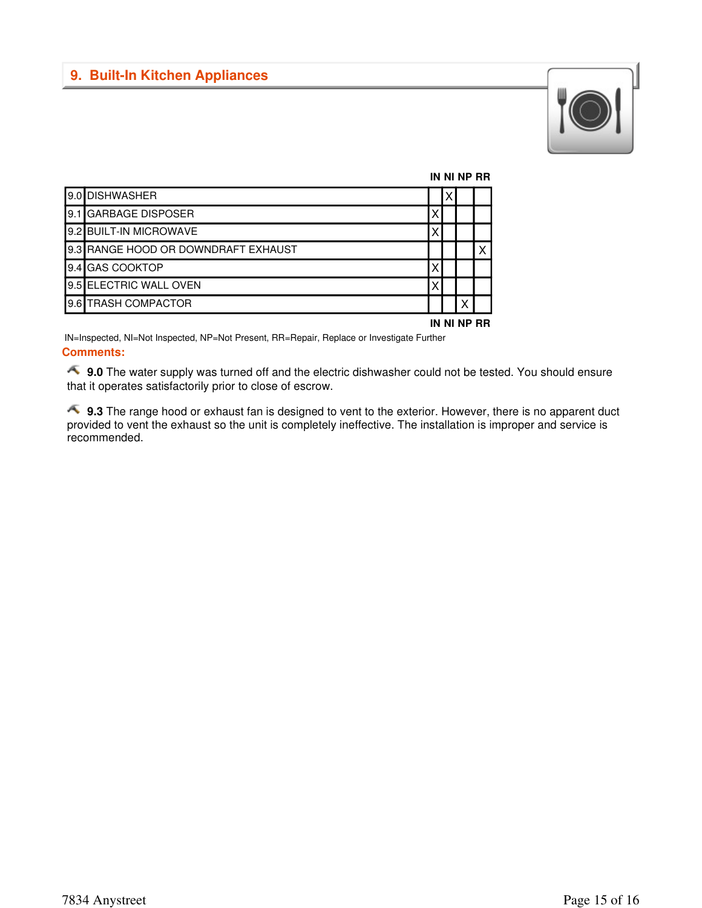

**IN NI NP RR**

|      | 9.0 DISHWASHER                      |  |             |  |
|------|-------------------------------------|--|-------------|--|
| 19.1 | <b>IGARBAGE DISPOSER</b>            |  |             |  |
|      | 9.2 BUILT-IN MICROWAVE              |  |             |  |
|      | 9.3 RANGE HOOD OR DOWNDRAFT EXHAUST |  |             |  |
|      | 9.4 GAS COOKTOP                     |  |             |  |
|      | 19.5 IELECTRIC WALL OVEN            |  |             |  |
|      | 9.6 TRASH COMPACTOR                 |  | Х           |  |
|      |                                     |  | IN NI NP RR |  |

IN=Inspected, NI=Not Inspected, NP=Not Present, RR=Repair, Replace or Investigate Further

# **Comments:**

**9.0** The water supply was turned off and the electric dishwasher could not be tested. You should ensure that it operates satisfactorily prior to close of escrow.

**9.3** The range hood or exhaust fan is designed to vent to the exterior. However, there is no apparent duct provided to vent the exhaust so the unit is completely ineffective. The installation is improper and service is recommended.